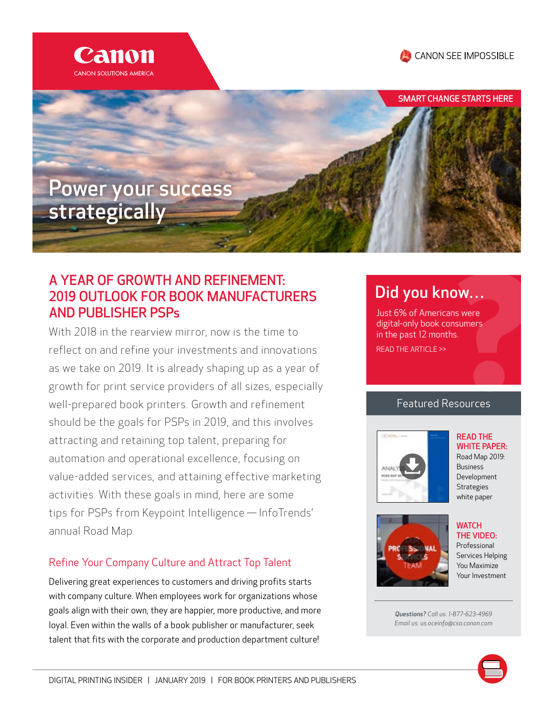

# A YEAR OF GROWTH AND REFINEMENT: 2019 OUTLOOK FOR BOOK MANUFACTURERS AND PUBLISHER PSPs

With 2018 in the rearview mirror, now is the time to reflect on and refine your investments and innovations as we take on 2019. It is already shaping up as a year of growth for print service providers of all sizes, especially well-prepared book printers. Growth and refinement should be the goals for PSPs in 2019, and this involves attracting and retaining top talent, preparing for automation and operational excellence, focusing on value-added services, and attaining effective marketing activities. With these goals in mind, here are some tips for PSPs from Keypoint Intelligence — InfoTrends' annual Road Map.

# Refine Your Company Culture and Attract Top Talent

Delivering great experiences to customers and driving profits starts with company culture. When employees work for organizations whose goals align with their own, they are happier, more productive, and more loyal. Even within the walls of a book publisher or manufacturer, seek talent that fits with the corporate and production department culture!

# [Did you know…](https://pps.csa.canon.com/resources/top-trends-in-todays-book-manufacturing-article?button_redirect=APP%20Books-REG&event_label=APP%20Books-REG)

Just 6% of Americans were digital-only book consumers in the past 12 months. READ THE ARTICLE >>

## Featured Resources



#### **WATCH** THE VIDEO: Professional [Services Helping](https://pps.csa.canon.com/resources/professional-services-helping-you-maximize-your-investment-video?button_redirect=TECH%20Prof%20Services-REG&event_label=TECH%20Prof%20Services-REG)  You Maximize Your Investment

*Questions? Call us: 1-877-623-4969 Email us: us.oceinfo@csa.canon.com*



READ THE [WHITE PAPER:](http://digitalprintinginsider.com/2019/01-january/book-printing/lp/pdfs/2019-bds-road-map-final.pdf) Road Map 2019: Business

# CANON SEE IMPOSSIBLE

SMART CHANGE STARTS HERE

# Canon SOLUTIONS AMERICA

strategically

Power your success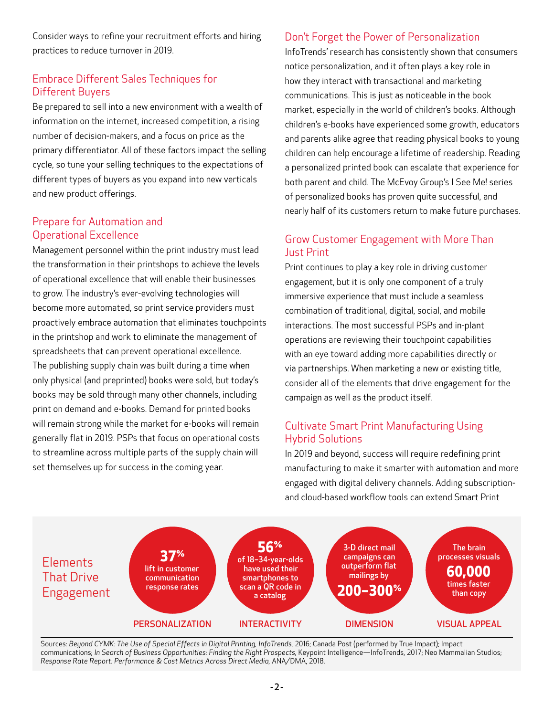Consider ways to refine your recruitment efforts and hiring practices to reduce turnover in 2019.

### Embrace Different Sales Techniques for Different Buyers

Be prepared to sell into a new environment with a wealth of information on the internet, increased competition, a rising number of decision-makers, and a focus on price as the primary differentiator. All of these factors impact the selling cycle, so tune your selling techniques to the expectations of different types of buyers as you expand into new verticals and new product offerings.

#### Prepare for Automation and Operational Excellence

Management personnel within the print industry must lead the transformation in their printshops to achieve the levels of operational excellence that will enable their businesses to grow. The industry's ever-evolving technologies will become more automated, so print service providers must proactively embrace automation that eliminates touchpoints in the printshop and work to eliminate the management of spreadsheets that can prevent operational excellence. The publishing supply chain was built during a time when only physical (and preprinted) books were sold, but today's books may be sold through many other channels, including print on demand and e-books. Demand for printed books will remain strong while the market for e-books will remain generally flat in 2019. PSPs that focus on operational costs to streamline across multiple parts of the supply chain will set themselves up for success in the coming year.

#### Don't Forget the Power of Personalization

InfoTrends' research has consistently shown that consumers notice personalization, and it often plays a key role in how they interact with transactional and marketing communications. This is just as noticeable in the book market, especially in the world of children's books. Although children's e-books have experienced some growth, educators and parents alike agree that reading physical books to young children can help encourage a lifetime of readership. Reading a personalized printed book can escalate that experience for both parent and child. The McEvoy Group's I See Me! series of personalized books has proven quite successful, and nearly half of its customers return to make future purchases.

#### Grow Customer Engagement with More Than Just Print

Print continues to play a key role in driving customer engagement, but it is only one component of a truly immersive experience that must include a seamless combination of traditional, digital, social, and mobile interactions. The most successful PSPs and in-plant operations are reviewing their touchpoint capabilities with an eye toward adding more capabilities directly or via partnerships. When marketing a new or existing title, consider all of the elements that drive engagement for the campaign as well as the product itself.

#### Cultivate Smart Print Manufacturing Using Hybrid Solutions

In 2019 and beyond, success will require redefining print manufacturing to make it smarter with automation and more engaged with digital delivery channels. Adding subscriptionand cloud-based workflow tools can extend Smart Print



Sources: *Beyond CYMK: The Use of Special Effects in Digital Printing, InfoTrends,* 2016; Canada Post (performed by True Impact); Impact communications; *In Search of Business Opportunities: Finding the Right Prospects,* Keypoint Intelligence—InfoTrends, 2017; Neo Mammalian Studios; *Response Rate Report: Performance & Cost Metrics Across Direct Media,* ANA/DMA, 2018.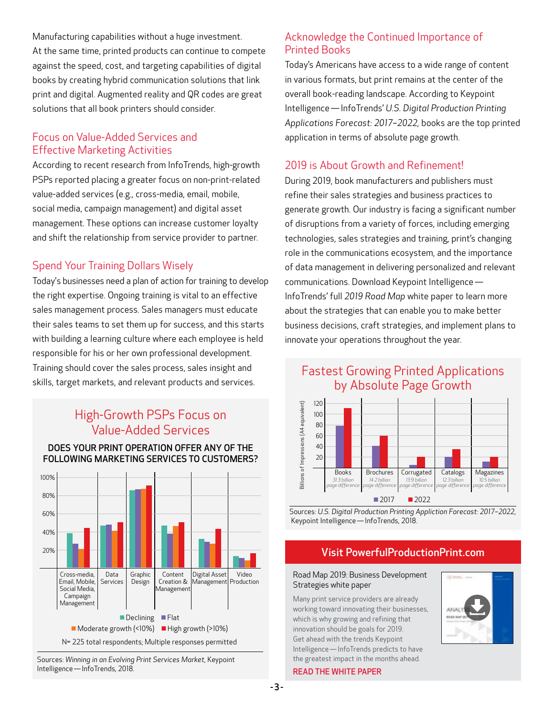Manufacturing capabilities without a huge investment. At the same time, printed products can continue to compete against the speed, cost, and targeting capabilities of digital books by creating hybrid communication solutions that link print and digital. Augmented reality and QR codes are great solutions that all book printers should consider.

#### Focus on Value-Added Services and Effective Marketing Activities

According to recent research from InfoTrends, high-growth PSPs reported placing a greater focus on non-print-related value-added services (e.g., cross-media, email, mobile, social media, campaign management) and digital asset management. These options can increase customer loyalty and shift the relationship from service provider to partner.

## Spend Your Training Dollars Wisely

Today's businesses need a plan of action for training to develop the right expertise. Ongoing training is vital to an effective sales management process. Sales managers must educate their sales teams to set them up for success, and this starts with building a learning culture where each employee is held responsible for his or her own professional development. Training should cover the sales process, sales insight and skills, target markets, and relevant products and services.

# High-Growth PSPs Focus on Value-Added Services

#### DOES YOUR PRINT OPERATION OFFER ANY OF THE FOLLOWING MARKETING SERVICES TO CUSTOMERS?



Sources: *Winning in an Evolving Print Services Market*, Keypoint Intelligence — InfoTrends, 2018.

#### Acknowledge the Continued Importance of Printed Books

Today's Americans have access to a wide range of content in various formats, but print remains at the center of the overall book-reading landscape. According to Keypoint Intelligence — InfoTrends' *U.S. Digital Production Printing Applications Forecast: 2017–2022,* books are the top printed application in terms of absolute page growth.

#### 2019 is About Growth and Refinement!

During 2019, book manufacturers and publishers must refine their sales strategies and business practices to generate growth. Our industry is facing a significant number of disruptions from a variety of forces, including emerging technologies, sales strategies and training, print's changing role in the communications ecosystem, and the importance of data management in delivering personalized and relevant communications. Download Keypoint Intelligence —  InfoTrends' full *2019 Road Map* white paper to learn more about the strategies that can enable you to make better business decisions, craft strategies, and implement plans to innovate your operations throughout the year.

# Fastest Growing Printed Applications by Absolute Page Growth



Sources: *U.S. Digital Production Printing Appliction Forecast: 2017–2022*, Keypoint Intelligence — InfoTrends, 2018.

#### [Visit PowerfulProductionPrint.com](http://digitalprintinginsider.com/2019/01-january/book-printing/lp/pdfs/2019-bds-road-map-final.pdf)

#### Road Map 2019: Business Development Strategies white paper

Many print service providers are already working toward innovating their businesses, which is why growing and refining that innovation should be goals for 2019. Get ahead with the trends Keypoint Intelligence — InfoTrends predicts to have the greatest impact in the months ahead.



#### READ THE WHITE PAPER